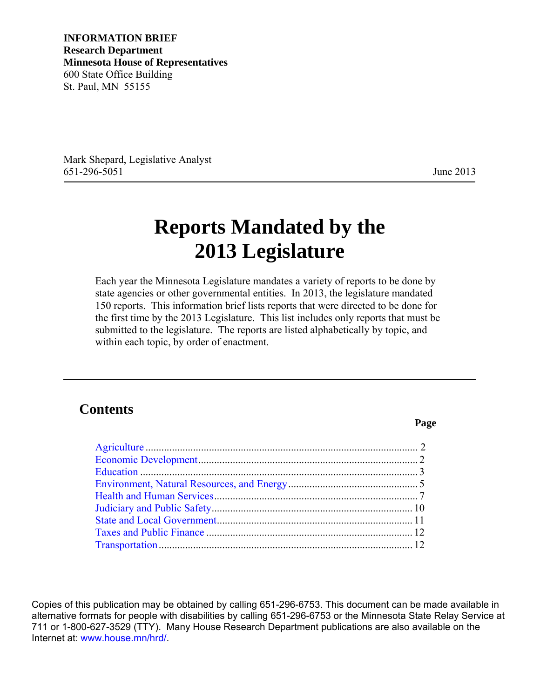**INFORMATION BRIEF Research Department Minnesota House of Representatives**  600 State Office Building St. Paul, MN 55155

Mark Shepard, Legislative Analyst 651-296-5051 June 2013

**Page** 

## **Reports Mandated by the 2013 Legislature**

Each year the Minnesota Legislature mandates a variety of reports to be done by state agencies or other governmental entities. In 2013, the legislature mandated 150 reports. This information brief lists reports that were directed to be done for the first time by the 2013 Legislature. This list includes only reports that must be submitted to the legislature. The reports are listed alphabetically by topic, and within each topic, by order of enactment.

## **Contents**

Copies of this publication may be obtained by calling 651-296-6753. This document can be made available in alternative formats for people with disabilities by calling 651-296-6753 or the Minnesota State Relay Service at 711 or 1-800-627-3529 (TTY). Many House Research Department publications are also available on the Internet at: [www.house.mn/hrd/.](http://www.house.mn/hrd/)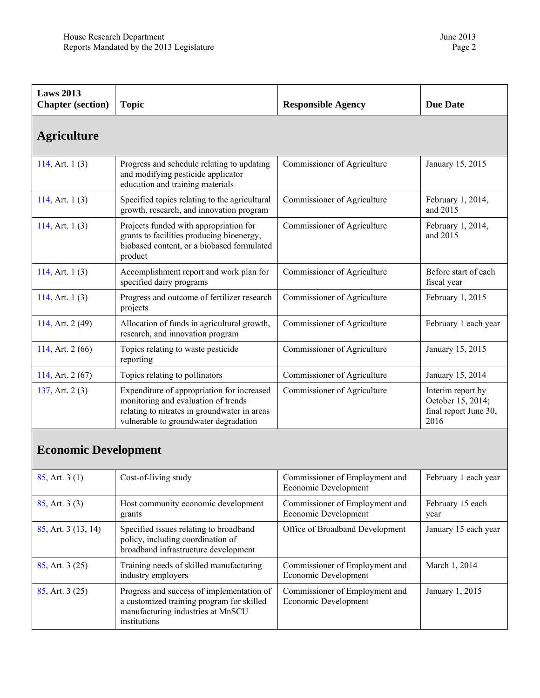industry employers

[85,](https://www.revisor.mn.gov/laws/?id=85&year=2013&type=0) Art. 3 (25) Progress and success of implementation of

institutions

a customized training program for skilled manufacturing industries at MnSCU

<span id="page-1-0"></span>

| <b>Laws 2013</b><br><b>Chapter</b> (section) | <b>Topic</b>                                                                                                                                                               | <b>Responsible Agency</b>                              | <b>Due Date</b>                                                         |
|----------------------------------------------|----------------------------------------------------------------------------------------------------------------------------------------------------------------------------|--------------------------------------------------------|-------------------------------------------------------------------------|
| <b>Agriculture</b>                           |                                                                                                                                                                            |                                                        |                                                                         |
| 114, Art. $1(3)$                             | Progress and schedule relating to updating<br>and modifying pesticide applicator<br>education and training materials                                                       | Commissioner of Agriculture                            | January 15, 2015                                                        |
| 114, Art. $1(3)$                             | Specified topics relating to the agricultural<br>growth, research, and innovation program                                                                                  | Commissioner of Agriculture                            | February 1, 2014,<br>and 2015                                           |
| 114, Art. $1(3)$                             | Projects funded with appropriation for<br>grants to facilities producing bioenergy,<br>biobased content, or a biobased formulated<br>product                               | Commissioner of Agriculture                            | February 1, 2014,<br>and 2015                                           |
| 114, Art. $1(3)$                             | Accomplishment report and work plan for<br>specified dairy programs                                                                                                        | Commissioner of Agriculture                            | Before start of each<br>fiscal year                                     |
| 114, Art. $1(3)$                             | Progress and outcome of fertilizer research<br>projects                                                                                                                    | Commissioner of Agriculture                            | February 1, 2015                                                        |
| 114, Art. 2 (49)                             | Allocation of funds in agricultural growth,<br>research, and innovation program                                                                                            | Commissioner of Agriculture                            | February 1 each year                                                    |
| 114, Art. 2 (66)                             | Topics relating to waste pesticide<br>reporting                                                                                                                            | Commissioner of Agriculture                            | January 15, 2015                                                        |
| 114, Art. $2(67)$                            | Topics relating to pollinators                                                                                                                                             | Commissioner of Agriculture                            | January 15, 2014                                                        |
| 137, Art. 2(3)                               | Expenditure of appropriation for increased<br>monitoring and evaluation of trends<br>relating to nitrates in groundwater in areas<br>vulnerable to groundwater degradation | Commissioner of Agriculture                            | Interim report by<br>October 15, 2014;<br>final report June 30,<br>2016 |
| <b>Economic Development</b>                  |                                                                                                                                                                            |                                                        |                                                                         |
| $85$ , Art. 3 (1)                            | Cost-of-living study                                                                                                                                                       | Commissioner of Employment and<br>Economic Development | February 1 each year                                                    |
| $85$ , Art. 3 $(3)$                          | Host community economic development<br>grants                                                                                                                              | Commissioner of Employment and<br>Economic Development | February 15 each<br>year                                                |
| 85, Art. 3 (13, 14)                          | Specified issues relating to broadband<br>policy, including coordination of<br>broadband infrastructure development                                                        | Office of Broadband Development                        | January 15 each year                                                    |
| $85$ , Art. 3 (25)                           | Training needs of skilled manufacturing                                                                                                                                    | Commissioner of Employment and                         | March 1, 2014                                                           |

Economic Development

Economic Development

Commissioner of Employment and

January 1, 2015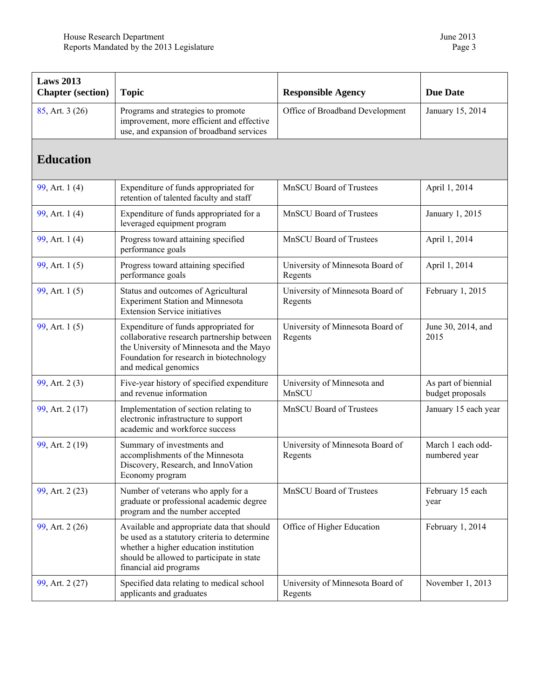<span id="page-2-0"></span>

| <b>Laws 2013</b><br><b>Chapter</b> (section) | <b>Topic</b>                                                                                                                                                                                                | <b>Responsible Agency</b>                   | <b>Due Date</b>                         |
|----------------------------------------------|-------------------------------------------------------------------------------------------------------------------------------------------------------------------------------------------------------------|---------------------------------------------|-----------------------------------------|
| $85$ , Art. 3 (26)                           | Programs and strategies to promote<br>improvement, more efficient and effective<br>use, and expansion of broadband services                                                                                 | Office of Broadband Development             | January 15, 2014                        |
| <b>Education</b>                             |                                                                                                                                                                                                             |                                             |                                         |
| 99, Art. 1 (4)                               | Expenditure of funds appropriated for<br>retention of talented faculty and staff                                                                                                                            | <b>MnSCU Board of Trustees</b>              | April 1, 2014                           |
| 99, Art. 1 (4)                               | Expenditure of funds appropriated for a<br>leveraged equipment program                                                                                                                                      | MnSCU Board of Trustees                     | January 1, 2015                         |
| 99, Art. 1(4)                                | Progress toward attaining specified<br>performance goals                                                                                                                                                    | MnSCU Board of Trustees                     | April 1, 2014                           |
| 99, Art. 1(5)                                | Progress toward attaining specified<br>performance goals                                                                                                                                                    | University of Minnesota Board of<br>Regents | April 1, 2014                           |
| 99, Art. 1(5)                                | Status and outcomes of Agricultural<br><b>Experiment Station and Minnesota</b><br><b>Extension Service initiatives</b>                                                                                      | University of Minnesota Board of<br>Regents | February 1, 2015                        |
| 99, Art. 1(5)                                | Expenditure of funds appropriated for<br>collaborative research partnership between<br>the University of Minnesota and the Mayo<br>Foundation for research in biotechnology<br>and medical genomics         | University of Minnesota Board of<br>Regents | June 30, 2014, and<br>2015              |
| 99, Art. 2(3)                                | Five-year history of specified expenditure<br>and revenue information                                                                                                                                       | University of Minnesota and<br>MnSCU        | As part of biennial<br>budget proposals |
| 99, Art. 2 (17)                              | Implementation of section relating to<br>electronic infrastructure to support<br>academic and workforce success                                                                                             | <b>MnSCU Board of Trustees</b>              | January 15 each year                    |
| 99, Art. 2 (19)                              | Summary of investments and<br>accomplishments of the Minnesota<br>Discovery, Research, and InnoVation<br>Economy program                                                                                    | University of Minnesota Board of<br>Regents | March 1 each odd-<br>numbered year      |
| 99, Art. 2 (23)                              | Number of veterans who apply for a<br>graduate or professional academic degree<br>program and the number accepted                                                                                           | <b>MnSCU Board of Trustees</b>              | February 15 each<br>year                |
| 99, Art. 2 (26)                              | Available and appropriate data that should<br>be used as a statutory criteria to determine<br>whether a higher education institution<br>should be allowed to participate in state<br>financial aid programs | Office of Higher Education                  | February 1, 2014                        |
| 99, Art. 2 (27)                              | Specified data relating to medical school<br>applicants and graduates                                                                                                                                       | University of Minnesota Board of<br>Regents | November 1, 2013                        |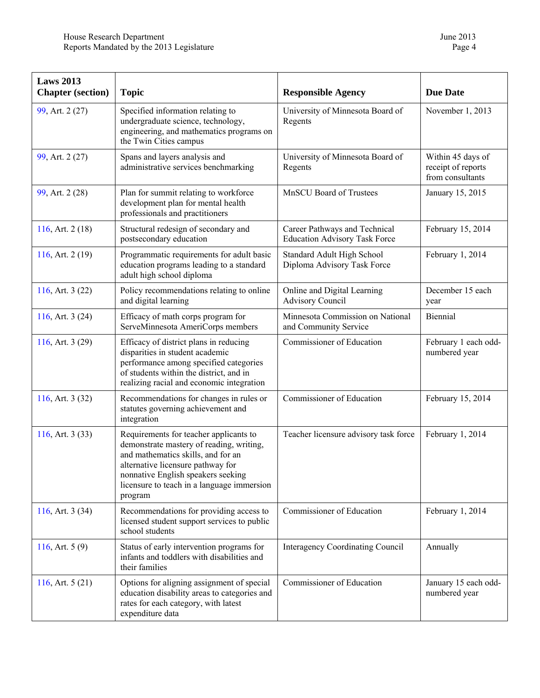| <b>Laws 2013</b><br><b>Chapter</b> (section) | <b>Topic</b>                                                                                                                                                                                                                                                 | <b>Responsible Agency</b>                                             | <b>Due Date</b>                                             |
|----------------------------------------------|--------------------------------------------------------------------------------------------------------------------------------------------------------------------------------------------------------------------------------------------------------------|-----------------------------------------------------------------------|-------------------------------------------------------------|
| 99, Art. 2 (27)                              | Specified information relating to<br>undergraduate science, technology,<br>engineering, and mathematics programs on<br>the Twin Cities campus                                                                                                                | University of Minnesota Board of<br>Regents                           | November 1, 2013                                            |
| 99, Art. 2 (27)                              | Spans and layers analysis and<br>administrative services benchmarking                                                                                                                                                                                        | University of Minnesota Board of<br>Regents                           | Within 45 days of<br>receipt of reports<br>from consultants |
| 99, Art. 2 (28)                              | Plan for summit relating to workforce<br>development plan for mental health<br>professionals and practitioners                                                                                                                                               | <b>MnSCU Board of Trustees</b>                                        | January 15, 2015                                            |
| 116, Art. $2(18)$                            | Structural redesign of secondary and<br>postsecondary education                                                                                                                                                                                              | Career Pathways and Technical<br><b>Education Advisory Task Force</b> | February 15, 2014                                           |
| 116, Art. 2 (19)                             | Programmatic requirements for adult basic<br>education programs leading to a standard<br>adult high school diploma                                                                                                                                           | Standard Adult High School<br>Diploma Advisory Task Force             | February 1, 2014                                            |
| 116, Art. $3(22)$                            | Policy recommendations relating to online<br>and digital learning                                                                                                                                                                                            | Online and Digital Learning<br><b>Advisory Council</b>                | December 15 each<br>year                                    |
| 116, Art. $3(24)$                            | Efficacy of math corps program for<br>ServeMinnesota AmeriCorps members                                                                                                                                                                                      | Minnesota Commission on National<br>and Community Service             | Biennial                                                    |
| 116, Art. 3 (29)                             | Efficacy of district plans in reducing<br>disparities in student academic<br>performance among specified categories<br>of students within the district, and in<br>realizing racial and economic integration                                                  | Commissioner of Education                                             | February 1 each odd-<br>numbered year                       |
| 116, Art. $3(32)$                            | Recommendations for changes in rules or<br>statutes governing achievement and<br>integration                                                                                                                                                                 | Commissioner of Education                                             | February 15, 2014                                           |
| 116, Art. $3(33)$                            | Requirements for teacher applicants to<br>demonstrate mastery of reading, writing,<br>and mathematics skills, and for an<br>alternative licensure pathway for<br>nonnative English speakers seeking<br>licensure to teach in a language immersion<br>program | Teacher licensure advisory task force                                 | February 1, 2014                                            |
| 116, Art. $3(34)$                            | Recommendations for providing access to<br>licensed student support services to public<br>school students                                                                                                                                                    | Commissioner of Education                                             | February 1, 2014                                            |
| 116, Art. $5(9)$                             | Status of early intervention programs for<br>infants and toddlers with disabilities and<br>their families                                                                                                                                                    | <b>Interagency Coordinating Council</b>                               | Annually                                                    |
| 116, Art. $5(21)$                            | Options for aligning assignment of special<br>education disability areas to categories and<br>rates for each category, with latest<br>expenditure data                                                                                                       | Commissioner of Education                                             | January 15 each odd-<br>numbered year                       |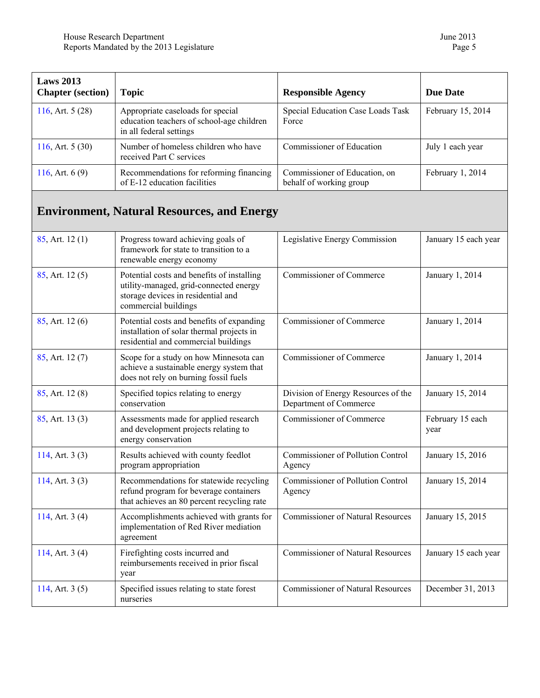<span id="page-4-0"></span>

| <b>Laws 2013</b><br><b>Chapter</b> (section) | <b>Topic</b>                                                                                                                                       | <b>Responsible Agency</b>                                     | <b>Due Date</b>          |
|----------------------------------------------|----------------------------------------------------------------------------------------------------------------------------------------------------|---------------------------------------------------------------|--------------------------|
| 116, Art. $5(28)$                            | Appropriate caseloads for special<br>education teachers of school-age children<br>in all federal settings                                          | Special Education Case Loads Task<br>Force                    | February 15, 2014        |
| 116, Art. $5(30)$                            | Number of homeless children who have<br>received Part C services                                                                                   | Commissioner of Education                                     | July 1 each year         |
| 116, Art. $6(9)$                             | Recommendations for reforming financing<br>of E-12 education facilities                                                                            | Commissioner of Education, on<br>behalf of working group      | February 1, 2014         |
|                                              | <b>Environment, Natural Resources, and Energy</b>                                                                                                  |                                                               |                          |
| $85$ , Art. 12 $(1)$                         | Progress toward achieving goals of<br>framework for state to transition to a<br>renewable energy economy                                           | Legislative Energy Commission                                 | January 15 each year     |
| 85, Art. 12(5)                               | Potential costs and benefits of installing<br>utility-managed, grid-connected energy<br>storage devices in residential and<br>commercial buildings | Commissioner of Commerce                                      | January 1, 2014          |
| $85$ , Art. 12 $(6)$                         | Potential costs and benefits of expanding<br>installation of solar thermal projects in<br>residential and commercial buildings                     | Commissioner of Commerce                                      | January 1, 2014          |
| 85, Art. 12(7)                               | Scope for a study on how Minnesota can<br>achieve a sustainable energy system that<br>does not rely on burning fossil fuels                        | Commissioner of Commerce                                      | January 1, 2014          |
| 85, Art. 12(8)                               | Specified topics relating to energy<br>conservation                                                                                                | Division of Energy Resources of the<br>Department of Commerce | January 15, 2014         |
| $85$ , Art. 13 $(3)$                         | Assessments made for applied research<br>and development projects relating to<br>energy conservation                                               | Commissioner of Commerce                                      | February 15 each<br>year |
| 114, Art. $3(3)$                             | Results achieved with county feedlot<br>program appropriation                                                                                      | <b>Commissioner of Pollution Control</b><br>Agency            | January 15, 2016         |
| 114, Art. $3(3)$                             | Recommendations for statewide recycling<br>refund program for beverage containers<br>that achieves an 80 percent recycling rate                    | <b>Commissioner of Pollution Control</b><br>Agency            | January 15, 2014         |
| 114, Art. $3(4)$                             | Accomplishments achieved with grants for<br>implementation of Red River mediation<br>agreement                                                     | <b>Commissioner of Natural Resources</b>                      | January 15, 2015         |
| 114, Art. $3(4)$                             | Firefighting costs incurred and<br>reimbursements received in prior fiscal<br>year                                                                 | <b>Commissioner of Natural Resources</b>                      | January 15 each year     |
| 114, Art. $3(5)$                             | Specified issues relating to state forest<br>nurseries                                                                                             | <b>Commissioner of Natural Resources</b>                      | December 31, 2013        |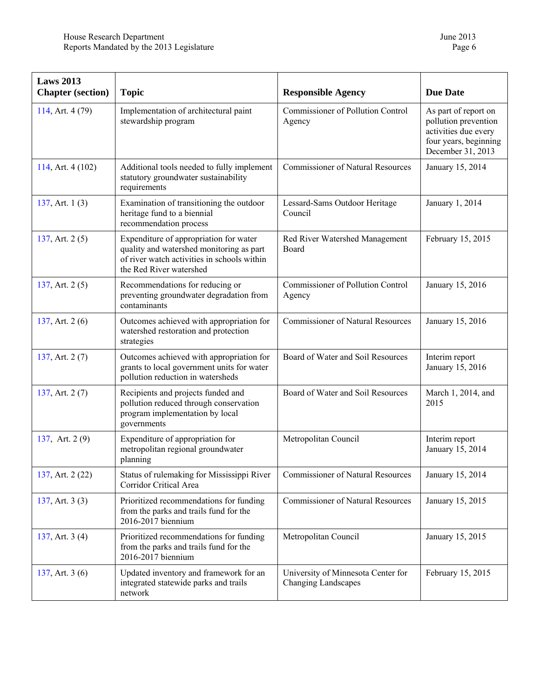| <b>Laws 2013</b><br><b>Chapter</b> (section) | <b>Topic</b>                                                                                                                                                 | <b>Responsible Agency</b>                                        | <b>Due Date</b>                                                                                                    |
|----------------------------------------------|--------------------------------------------------------------------------------------------------------------------------------------------------------------|------------------------------------------------------------------|--------------------------------------------------------------------------------------------------------------------|
| 114, Art. 4 (79)                             | Implementation of architectural paint<br>stewardship program                                                                                                 | <b>Commissioner of Pollution Control</b><br>Agency               | As part of report on<br>pollution prevention<br>activities due every<br>four years, beginning<br>December 31, 2013 |
| 114, Art. 4 (102)                            | Additional tools needed to fully implement<br>statutory groundwater sustainability<br>requirements                                                           | <b>Commissioner of Natural Resources</b>                         | January 15, 2014                                                                                                   |
| 137, Art. $1(3)$                             | Examination of transitioning the outdoor<br>heritage fund to a biennial<br>recommendation process                                                            | Lessard-Sams Outdoor Heritage<br>Council                         | January 1, 2014                                                                                                    |
| 137, Art. $2(5)$                             | Expenditure of appropriation for water<br>quality and watershed monitoring as part<br>of river watch activities in schools within<br>the Red River watershed | Red River Watershed Management<br>Board                          | February 15, 2015                                                                                                  |
| 137, Art. $2(5)$                             | Recommendations for reducing or<br>preventing groundwater degradation from<br>contaminants                                                                   | <b>Commissioner of Pollution Control</b><br>Agency               | January 15, 2016                                                                                                   |
| 137, Art. $2(6)$                             | Outcomes achieved with appropriation for<br>watershed restoration and protection<br>strategies                                                               | <b>Commissioner of Natural Resources</b>                         | January 15, 2016                                                                                                   |
| 137, Art. 2(7)                               | Outcomes achieved with appropriation for<br>grants to local government units for water<br>pollution reduction in watersheds                                  | Board of Water and Soil Resources                                | Interim report<br>January 15, 2016                                                                                 |
| 137, Art. $2(7)$                             | Recipients and projects funded and<br>pollution reduced through conservation<br>program implementation by local<br>governments                               | Board of Water and Soil Resources                                | March 1, 2014, and<br>2015                                                                                         |
| 137, Art. 2(9)                               | Expenditure of appropriation for<br>metropolitan regional groundwater<br>planning                                                                            | Metropolitan Council                                             | Interim report<br>January 15, 2014                                                                                 |
| 137, Art. 2 (22)                             | Status of rulemaking for Mississippi River<br>Corridor Critical Area                                                                                         | <b>Commissioner of Natural Resources</b>                         | January 15, 2014                                                                                                   |
| 137, Art. $3(3)$                             | Prioritized recommendations for funding<br>from the parks and trails fund for the<br>2016-2017 biennium                                                      | <b>Commissioner of Natural Resources</b>                         | January 15, 2015                                                                                                   |
| 137, Art. 3 (4)                              | Prioritized recommendations for funding<br>from the parks and trails fund for the<br>2016-2017 biennium                                                      | Metropolitan Council                                             | January 15, 2015                                                                                                   |
| 137, Art. $3(6)$                             | Updated inventory and framework for an<br>integrated statewide parks and trails<br>network                                                                   | University of Minnesota Center for<br><b>Changing Landscapes</b> | February 15, 2015                                                                                                  |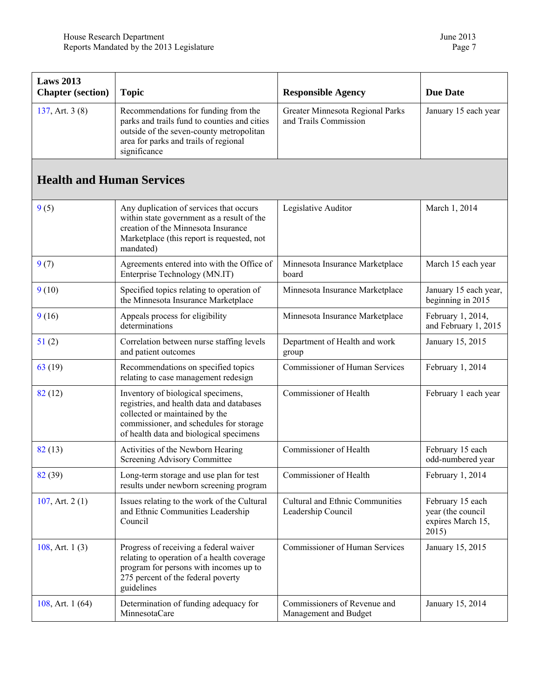<span id="page-6-0"></span>

| <b>Laws 2013</b><br><b>Chapter</b> (section) | <b>Topic</b>                                                                                                                                                                                            | <b>Responsible Agency</b>                                    | <b>Due Date</b>                                                     |
|----------------------------------------------|---------------------------------------------------------------------------------------------------------------------------------------------------------------------------------------------------------|--------------------------------------------------------------|---------------------------------------------------------------------|
| 137, Art. $3(8)$                             | Recommendations for funding from the<br>parks and trails fund to counties and cities<br>outside of the seven-county metropolitan<br>area for parks and trails of regional<br>significance               | Greater Minnesota Regional Parks<br>and Trails Commission    | January 15 each year                                                |
| <b>Health and Human Services</b>             |                                                                                                                                                                                                         |                                                              |                                                                     |
| 9(5)                                         | Any duplication of services that occurs<br>within state government as a result of the<br>creation of the Minnesota Insurance<br>Marketplace (this report is requested, not<br>mandated)                 | Legislative Auditor                                          | March 1, 2014                                                       |
| 9(7)                                         | Agreements entered into with the Office of<br>Enterprise Technology (MN.IT)                                                                                                                             | Minnesota Insurance Marketplace<br>board                     | March 15 each year                                                  |
| 9(10)                                        | Specified topics relating to operation of<br>the Minnesota Insurance Marketplace                                                                                                                        | Minnesota Insurance Marketplace                              | January 15 each year,<br>beginning in 2015                          |
| 9(16)                                        | Appeals process for eligibility<br>determinations                                                                                                                                                       | Minnesota Insurance Marketplace                              | February 1, 2014,<br>and February 1, 2015                           |
| 51(2)                                        | Correlation between nurse staffing levels<br>and patient outcomes                                                                                                                                       | Department of Health and work<br>group                       | January 15, 2015                                                    |
| 63(19)                                       | Recommendations on specified topics<br>relating to case management redesign                                                                                                                             | Commissioner of Human Services                               | February 1, 2014                                                    |
| 82(12)                                       | Inventory of biological specimens,<br>registries, and health data and databases<br>collected or maintained by the<br>commissioner, and schedules for storage<br>of health data and biological specimens | Commissioner of Health                                       | February 1 each year                                                |
| 82(13)                                       | Activities of the Newborn Hearing<br>Screening Advisory Committee                                                                                                                                       | Commissioner of Health                                       | February 15 each<br>odd-numbered year                               |
| 82(39)                                       | Long-term storage and use plan for test<br>results under newborn screening program                                                                                                                      | Commissioner of Health                                       | February 1, 2014                                                    |
| 107, Art. $2(1)$                             | Issues relating to the work of the Cultural<br>and Ethnic Communities Leadership<br>Council                                                                                                             | <b>Cultural and Ethnic Communities</b><br>Leadership Council | February 15 each<br>year (the council<br>expires March 15,<br>2015) |
| 108, Art. $1(3)$                             | Progress of receiving a federal waiver<br>relating to operation of a health coverage<br>program for persons with incomes up to<br>275 percent of the federal poverty<br>guidelines                      | <b>Commissioner of Human Services</b>                        | January 15, 2015                                                    |
| 108, Art. $1(64)$                            | Determination of funding adequacy for<br>MinnesotaCare                                                                                                                                                  | Commissioners of Revenue and<br>Management and Budget        | January 15, 2014                                                    |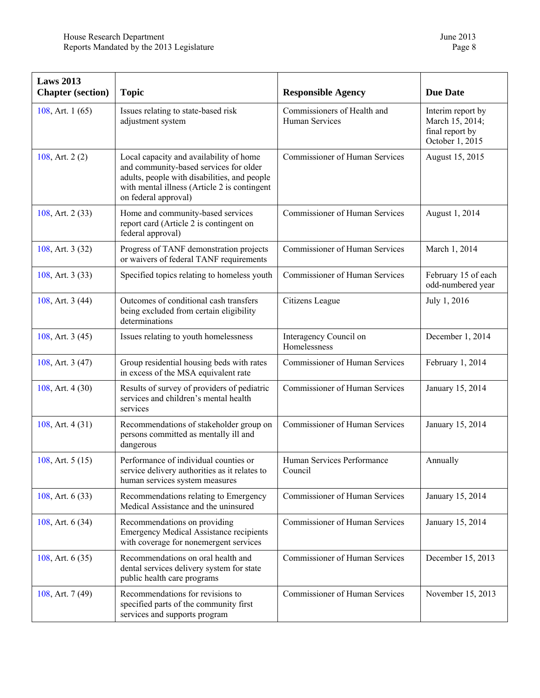| <b>Laws 2013</b><br><b>Chapter</b> (section) | <b>Topic</b>                                                                                                                                                                                              | <b>Responsible Agency</b>                     | <b>Due Date</b>                                                            |
|----------------------------------------------|-----------------------------------------------------------------------------------------------------------------------------------------------------------------------------------------------------------|-----------------------------------------------|----------------------------------------------------------------------------|
| 108, Art. $1(65)$                            | Issues relating to state-based risk<br>adjustment system                                                                                                                                                  | Commissioners of Health and<br>Human Services | Interim report by<br>March 15, 2014;<br>final report by<br>October 1, 2015 |
| 108, Art. 2(2)                               | Local capacity and availability of home<br>and community-based services for older<br>adults, people with disabilities, and people<br>with mental illness (Article 2 is contingent<br>on federal approval) | Commissioner of Human Services                | August 15, 2015                                                            |
| 108, Art. 2 (33)                             | Home and community-based services<br>report card (Article 2 is contingent on<br>federal approval)                                                                                                         | <b>Commissioner of Human Services</b>         | August 1, 2014                                                             |
| 108, Art. 3 (32)                             | Progress of TANF demonstration projects<br>or waivers of federal TANF requirements                                                                                                                        | <b>Commissioner of Human Services</b>         | March 1, 2014                                                              |
| 108, Art. 3 (33)                             | Specified topics relating to homeless youth                                                                                                                                                               | Commissioner of Human Services                | February 15 of each<br>odd-numbered year                                   |
| 108, Art. 3 (44)                             | Outcomes of conditional cash transfers<br>being excluded from certain eligibility<br>determinations                                                                                                       | Citizens League                               | July 1, 2016                                                               |
| 108, Art. 3 (45)                             | Issues relating to youth homelessness                                                                                                                                                                     | Interagency Council on<br>Homelessness        | December 1, 2014                                                           |
| 108, Art. 3 (47)                             | Group residential housing beds with rates<br>in excess of the MSA equivalent rate                                                                                                                         | <b>Commissioner of Human Services</b>         | February 1, 2014                                                           |
| 108, Art. 4 (30)                             | Results of survey of providers of pediatric<br>services and children's mental health<br>services                                                                                                          | <b>Commissioner of Human Services</b>         | January 15, 2014                                                           |
| 108, Art. $4(31)$                            | Recommendations of stakeholder group on<br>persons committed as mentally ill and<br>dangerous                                                                                                             | <b>Commissioner of Human Services</b>         | January 15, 2014                                                           |
| 108, Art. $5(15)$                            | Performance of individual counties or<br>service delivery authorities as it relates to<br>human services system measures                                                                                  | Human Services Performance<br>Council         | Annually                                                                   |
| 108, Art. 6 (33)                             | Recommendations relating to Emergency<br>Medical Assistance and the uninsured                                                                                                                             | Commissioner of Human Services                | January 15, 2014                                                           |
| 108, Art. $6(34)$                            | Recommendations on providing<br><b>Emergency Medical Assistance recipients</b><br>with coverage for nonemergent services                                                                                  | <b>Commissioner of Human Services</b>         | January 15, 2014                                                           |
| 108, Art. $6(35)$                            | Recommendations on oral health and<br>dental services delivery system for state<br>public health care programs                                                                                            | <b>Commissioner of Human Services</b>         | December 15, 2013                                                          |
| 108, Art. 7 (49)                             | Recommendations for revisions to<br>specified parts of the community first<br>services and supports program                                                                                               | <b>Commissioner of Human Services</b>         | November 15, 2013                                                          |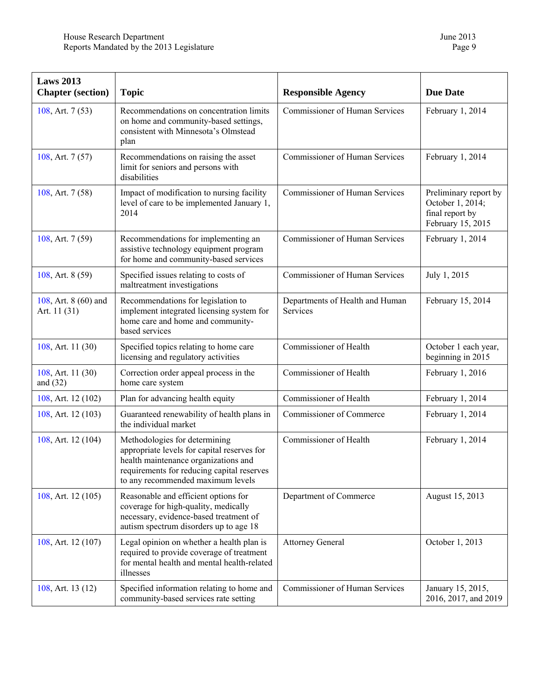| <b>Laws 2013</b><br><b>Chapter</b> (section) | <b>Topic</b>                                                                                                                                                                                            | <b>Responsible Agency</b>                   | <b>Due Date</b>                                                                   |
|----------------------------------------------|---------------------------------------------------------------------------------------------------------------------------------------------------------------------------------------------------------|---------------------------------------------|-----------------------------------------------------------------------------------|
| 108, Art. 7 (53)                             | Recommendations on concentration limits<br>on home and community-based settings,<br>consistent with Minnesota's Olmstead<br>plan                                                                        | <b>Commissioner of Human Services</b>       | February 1, 2014                                                                  |
| 108, Art. 7 (57)                             | Recommendations on raising the asset<br>limit for seniors and persons with<br>disabilities                                                                                                              | <b>Commissioner of Human Services</b>       | February 1, 2014                                                                  |
| 108, Art. 7 (58)                             | Impact of modification to nursing facility<br>level of care to be implemented January 1,<br>2014                                                                                                        | <b>Commissioner of Human Services</b>       | Preliminary report by<br>October 1, 2014;<br>final report by<br>February 15, 2015 |
| 108, Art. 7 (59)                             | Recommendations for implementing an<br>assistive technology equipment program<br>for home and community-based services                                                                                  | <b>Commissioner of Human Services</b>       | February 1, 2014                                                                  |
| 108, Art. 8 (59)                             | Specified issues relating to costs of<br>maltreatment investigations                                                                                                                                    | <b>Commissioner of Human Services</b>       | July 1, 2015                                                                      |
| 108, Art. 8 (60) and<br>Art. 11 (31)         | Recommendations for legislation to<br>implement integrated licensing system for<br>home care and home and community-<br>based services                                                                  | Departments of Health and Human<br>Services | February 15, 2014                                                                 |
| 108, Art. 11 (30)                            | Specified topics relating to home care<br>licensing and regulatory activities                                                                                                                           | Commissioner of Health                      | October 1 each year,<br>beginning in 2015                                         |
| 108, Art. 11 (30)<br>and $(32)$              | Correction order appeal process in the<br>home care system                                                                                                                                              | Commissioner of Health                      | February 1, 2016                                                                  |
| 108, Art. 12 (102)                           | Plan for advancing health equity                                                                                                                                                                        | Commissioner of Health                      | February 1, 2014                                                                  |
| 108, Art. 12 (103)                           | Guaranteed renewability of health plans in<br>the individual market                                                                                                                                     | Commissioner of Commerce                    | February 1, 2014                                                                  |
| 108, Art. 12 (104)                           | Methodologies for determining<br>appropriate levels for capital reserves for<br>health maintenance organizations and<br>requirements for reducing capital reserves<br>to any recommended maximum levels | Commissioner of Health                      | February 1, 2014                                                                  |
| 108, Art. 12 (105)                           | Reasonable and efficient options for<br>coverage for high-quality, medically<br>necessary, evidence-based treatment of<br>autism spectrum disorders up to age 18                                        | Department of Commerce                      | August 15, 2013                                                                   |
| 108, Art. 12 (107)                           | Legal opinion on whether a health plan is<br>required to provide coverage of treatment<br>for mental health and mental health-related<br>illnesses                                                      | <b>Attorney General</b>                     | October 1, 2013                                                                   |
| 108, Art. 13 (12)                            | Specified information relating to home and<br>community-based services rate setting                                                                                                                     | <b>Commissioner of Human Services</b>       | January 15, 2015,<br>2016, 2017, and 2019                                         |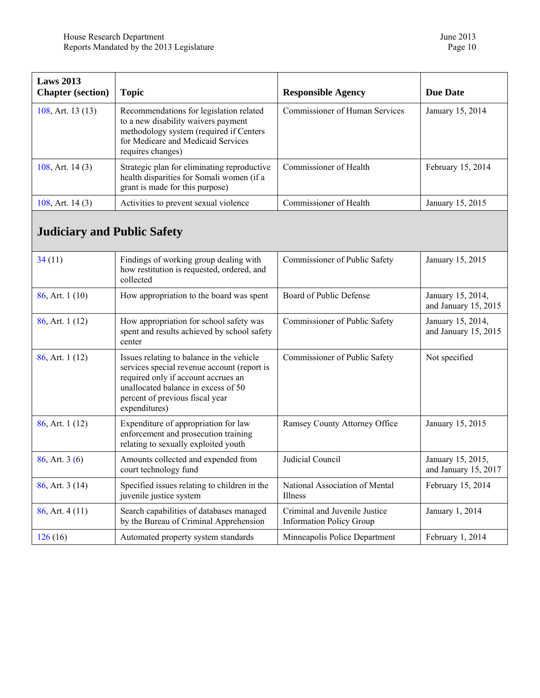<span id="page-9-0"></span>

| Laws $2013$<br><b>Chapter</b> (section) | <b>Topic</b>                                                                                                                                                                         | <b>Responsible Agency</b>             | Due Date          |
|-----------------------------------------|--------------------------------------------------------------------------------------------------------------------------------------------------------------------------------------|---------------------------------------|-------------------|
| 108, Art. $13(13)$                      | Recommendations for legislation related<br>to a new disability waivers payment<br>methodology system (required if Centers<br>for Medicare and Medicaid Services<br>requires changes) | <b>Commissioner of Human Services</b> | January 15, 2014  |
| 108, Art. $14(3)$                       | Strategic plan for eliminating reproductive<br>health disparities for Somali women (if a<br>grant is made for this purpose)                                                          | Commissioner of Health                | February 15, 2014 |
| 108, Art. $14(3)$                       | Activities to prevent sexual violence                                                                                                                                                | Commissioner of Health                | January 15, 2015  |

## **Judiciary and Public Safety**

| 34(11)               | Findings of working group dealing with<br>how restitution is requested, ordered, and<br>collected                                                                                                                          | Commissioner of Public Safety                                    | January 15, 2015                          |
|----------------------|----------------------------------------------------------------------------------------------------------------------------------------------------------------------------------------------------------------------------|------------------------------------------------------------------|-------------------------------------------|
| $86$ , Art. 1 (10)   | How appropriation to the board was spent                                                                                                                                                                                   | Board of Public Defense                                          | January 15, 2014,<br>and January 15, 2015 |
| $86$ , Art. 1 (12)   | How appropriation for school safety was<br>spent and results achieved by school safety<br>center                                                                                                                           | Commissioner of Public Safety                                    | January 15, 2014,<br>and January 15, 2015 |
| $86$ , Art. 1 (12)   | Issues relating to balance in the vehicle<br>services special revenue account (report is<br>required only if account accrues an<br>unallocated balance in excess of 50<br>percent of previous fiscal year<br>expenditures) | Commissioner of Public Safety                                    | Not specified                             |
| $86$ , Art. 1 $(12)$ | Expenditure of appropriation for law<br>enforcement and prosecution training<br>relating to sexually exploited youth                                                                                                       | Ramsey County Attorney Office                                    | January 15, 2015                          |
| $86$ , Art. 3 (6)    | Amounts collected and expended from<br>court technology fund                                                                                                                                                               | Judicial Council                                                 | January 15, 2015,<br>and January 15, 2017 |
| $86$ , Art. 3 (14)   | Specified issues relating to children in the<br>juvenile justice system                                                                                                                                                    | National Association of Mental<br><b>Illness</b>                 | February 15, 2014                         |
| $86$ , Art. $4(11)$  | Search capabilities of databases managed<br>by the Bureau of Criminal Apprehension                                                                                                                                         | Criminal and Juvenile Justice<br><b>Information Policy Group</b> | January 1, 2014                           |
| 126(16)              | Automated property system standards                                                                                                                                                                                        | Minneapolis Police Department                                    | February 1, 2014                          |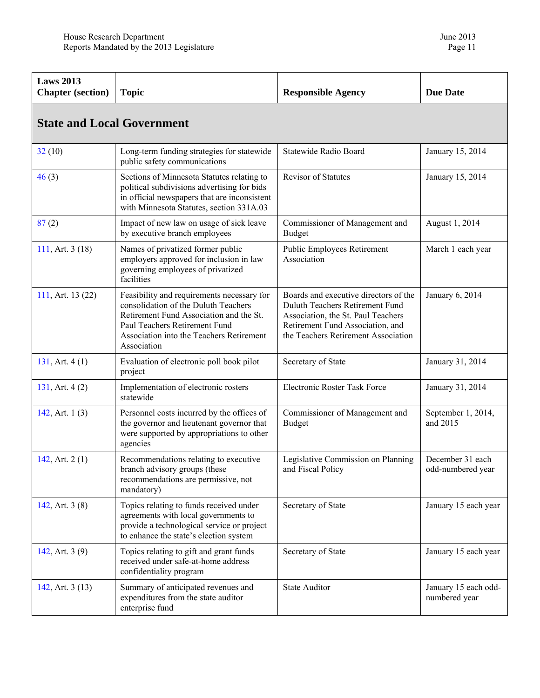<span id="page-10-0"></span>

| <b>Laws 2013</b><br><b>Chapter</b> (section) | <b>Topic</b>                                                                                                                                                                                                              | <b>Responsible Agency</b>                                                                                                                                                                 | <b>Due Date</b>                       |  |
|----------------------------------------------|---------------------------------------------------------------------------------------------------------------------------------------------------------------------------------------------------------------------------|-------------------------------------------------------------------------------------------------------------------------------------------------------------------------------------------|---------------------------------------|--|
| <b>State and Local Government</b>            |                                                                                                                                                                                                                           |                                                                                                                                                                                           |                                       |  |
| 32(10)                                       | Long-term funding strategies for statewide<br>public safety communications                                                                                                                                                | Statewide Radio Board                                                                                                                                                                     | January 15, 2014                      |  |
| 46(3)                                        | Sections of Minnesota Statutes relating to<br>political subdivisions advertising for bids<br>in official newspapers that are inconsistent<br>with Minnesota Statutes, section 331A.03                                     | <b>Revisor of Statutes</b>                                                                                                                                                                | January 15, 2014                      |  |
| 87(2)                                        | Impact of new law on usage of sick leave<br>by executive branch employees                                                                                                                                                 | Commissioner of Management and<br><b>Budget</b>                                                                                                                                           | August 1, 2014                        |  |
| 111, Art. 3 (18)                             | Names of privatized former public<br>employers approved for inclusion in law<br>governing employees of privatized<br>facilities                                                                                           | Public Employees Retirement<br>Association                                                                                                                                                | March 1 each year                     |  |
| 111, Art. 13 (22)                            | Feasibility and requirements necessary for<br>consolidation of the Duluth Teachers<br>Retirement Fund Association and the St.<br>Paul Teachers Retirement Fund<br>Association into the Teachers Retirement<br>Association | Boards and executive directors of the<br>Duluth Teachers Retirement Fund<br>Association, the St. Paul Teachers<br>Retirement Fund Association, and<br>the Teachers Retirement Association | January 6, 2014                       |  |
| 131, Art. $4(1)$                             | Evaluation of electronic poll book pilot<br>project                                                                                                                                                                       | Secretary of State                                                                                                                                                                        | January 31, 2014                      |  |
| 131, Art. $4(2)$                             | Implementation of electronic rosters<br>statewide                                                                                                                                                                         | <b>Electronic Roster Task Force</b>                                                                                                                                                       | January 31, 2014                      |  |
| 142, Art. $1(3)$                             | Personnel costs incurred by the offices of<br>the governor and lieutenant governor that<br>were supported by appropriations to other<br>agencies                                                                          | Commissioner of Management and<br><b>Budget</b>                                                                                                                                           | September 1, 2014,<br>and 2015        |  |
| 142, Art. $2(1)$                             | Recommendations relating to executive<br>branch advisory groups (these<br>recommendations are permissive, not<br>mandatory)                                                                                               | Legislative Commission on Planning<br>and Fiscal Policy                                                                                                                                   | December 31 each<br>odd-numbered year |  |
| 142, Art. $3(8)$                             | Topics relating to funds received under<br>agreements with local governments to<br>provide a technological service or project<br>to enhance the state's election system                                                   | Secretary of State                                                                                                                                                                        | January 15 each year                  |  |
| 142, Art. 3 (9)                              | Topics relating to gift and grant funds<br>received under safe-at-home address<br>confidentiality program                                                                                                                 | Secretary of State                                                                                                                                                                        | January 15 each year                  |  |
| 142, Art. $3(13)$                            | Summary of anticipated revenues and<br>expenditures from the state auditor<br>enterprise fund                                                                                                                             | <b>State Auditor</b>                                                                                                                                                                      | January 15 each odd-<br>numbered year |  |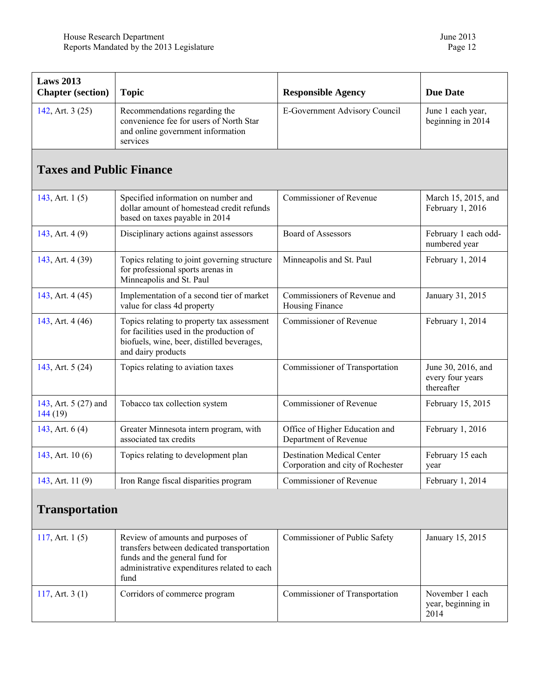year, beginning in

2014

<span id="page-11-0"></span>

| <b>Laws 2013</b><br><b>Chapter</b> (section) | <b>Topic</b>                                                                                                                                                             | <b>Responsible Agency</b>                                              | <b>Due Date</b>                                      |
|----------------------------------------------|--------------------------------------------------------------------------------------------------------------------------------------------------------------------------|------------------------------------------------------------------------|------------------------------------------------------|
| 142, Art. 3 (25)                             | Recommendations regarding the<br>convenience fee for users of North Star<br>and online government information<br>services                                                | E-Government Advisory Council                                          | June 1 each year,<br>beginning in 2014               |
| <b>Taxes and Public Finance</b>              |                                                                                                                                                                          |                                                                        |                                                      |
| 143, Art. $1(5)$                             | Specified information on number and<br>dollar amount of homestead credit refunds<br>based on taxes payable in 2014                                                       | Commissioner of Revenue                                                | March 15, 2015, and<br>February 1, 2016              |
| 143, Art. 4 (9)                              | Disciplinary actions against assessors                                                                                                                                   | <b>Board of Assessors</b>                                              | February 1 each odd-<br>numbered year                |
| 143, Art. 4 (39)                             | Topics relating to joint governing structure<br>for professional sports arenas in<br>Minneapolis and St. Paul                                                            | Minneapolis and St. Paul                                               | February 1, 2014                                     |
| 143, Art. 4 (45)                             | Implementation of a second tier of market<br>value for class 4d property                                                                                                 | Commissioners of Revenue and<br>Housing Finance                        | January 31, 2015                                     |
| 143, Art. 4 (46)                             | Topics relating to property tax assessment<br>for facilities used in the production of<br>biofuels, wine, beer, distilled beverages,<br>and dairy products               | Commissioner of Revenue                                                | February 1, 2014                                     |
| 143, Art. 5 (24)                             | Topics relating to aviation taxes                                                                                                                                        | Commissioner of Transportation                                         | June 30, 2016, and<br>every four years<br>thereafter |
| 143, Art. 5 (27) and<br>144(19)              | Tobacco tax collection system                                                                                                                                            | Commissioner of Revenue                                                | February 15, 2015                                    |
| 143, Art. $6(4)$                             | Greater Minnesota intern program, with<br>associated tax credits                                                                                                         | Office of Higher Education and<br>Department of Revenue                | February 1, 2016                                     |
| 143, Art. 10 (6)                             | Topics relating to development plan                                                                                                                                      | <b>Destination Medical Center</b><br>Corporation and city of Rochester | February 15 each<br>year                             |
| 143, Art. 11 (9)                             | Iron Range fiscal disparities program                                                                                                                                    | Commissioner of Revenue                                                | February 1, 2014                                     |
| <b>Transportation</b>                        |                                                                                                                                                                          |                                                                        |                                                      |
| 117, Art. $1(5)$                             | Review of amounts and purposes of<br>transfers between dedicated transportation<br>funds and the general fund for<br>administrative expenditures related to each<br>fund | Commissioner of Public Safety                                          | January 15, 2015                                     |

[117](https://www.revisor.mn.gov/laws/?id=117&year=2013&type=0), Art. 3 (1) Corridors of commerce program Commissioner of Transportation November 1 each